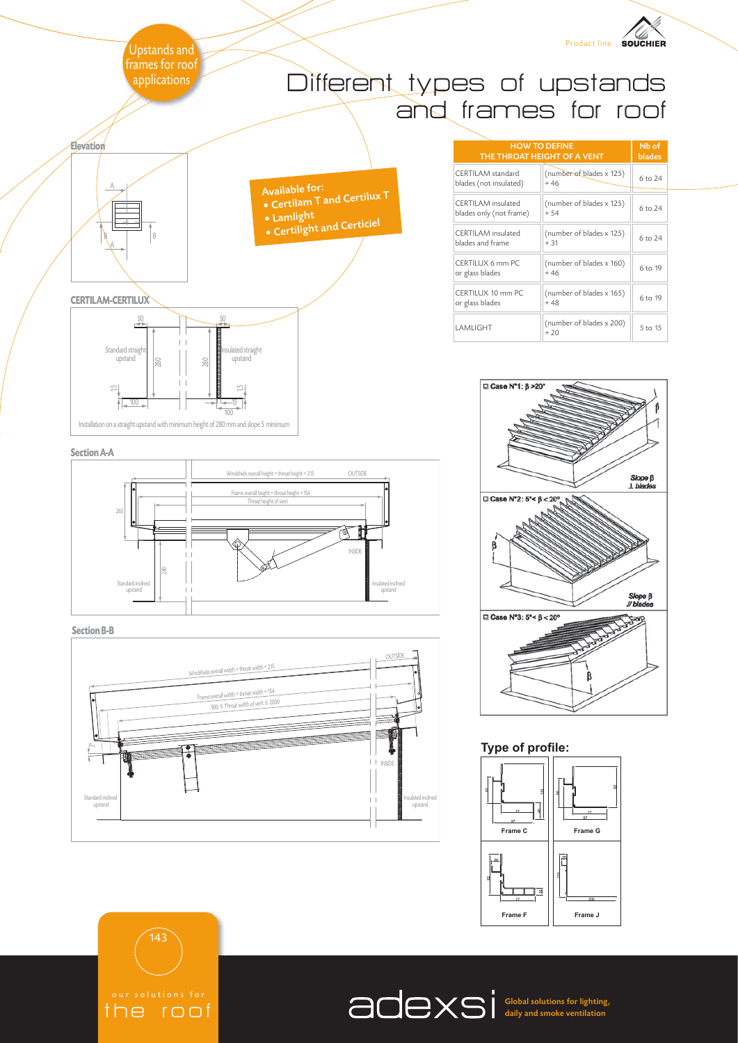

the roof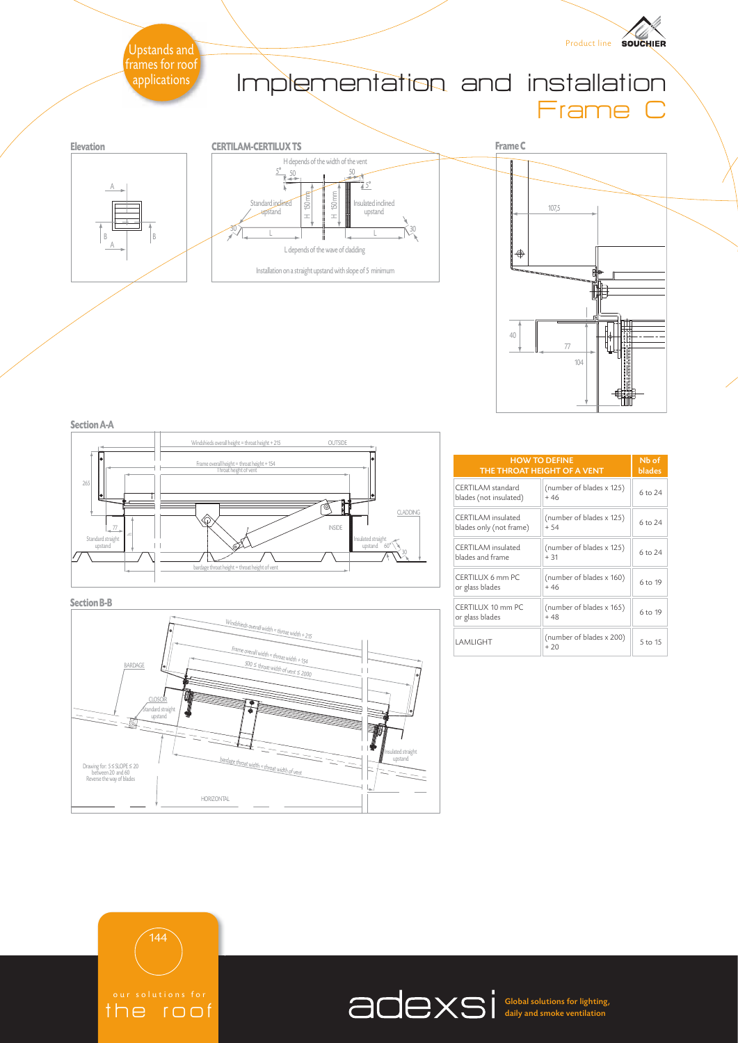

**Section A-A**



**Section B-B**



| <b>HOW TO DEFINE</b><br>THE THROAT HEIGHT OF A VENT | Nb of<br><b>blades</b>            |         |
|-----------------------------------------------------|-----------------------------------|---------|
| CERTILAM standard<br>blades (not insulated)         | (number of blades x 125)<br>$+46$ | 6 to 24 |
| CERTII AM insulated<br>blades only (not frame)      | (number of blades x 125)<br>$+54$ | 6 to 24 |
| CERTII AM insulated<br>blades and frame             | (number of blades x 125)<br>$+31$ | 6 to 24 |
| CERTILUX 6 mm PC<br>or glass blades                 | (number of blades x 160)<br>$+46$ | 6 to 19 |
| CERTILUX 10 mm PC<br>or glass blades                | (number of blades x 165)<br>$+48$ | 6 to 19 |
| I AMI IGHT                                          | (number of blades x 200)<br>$+20$ | 5 to 15 |



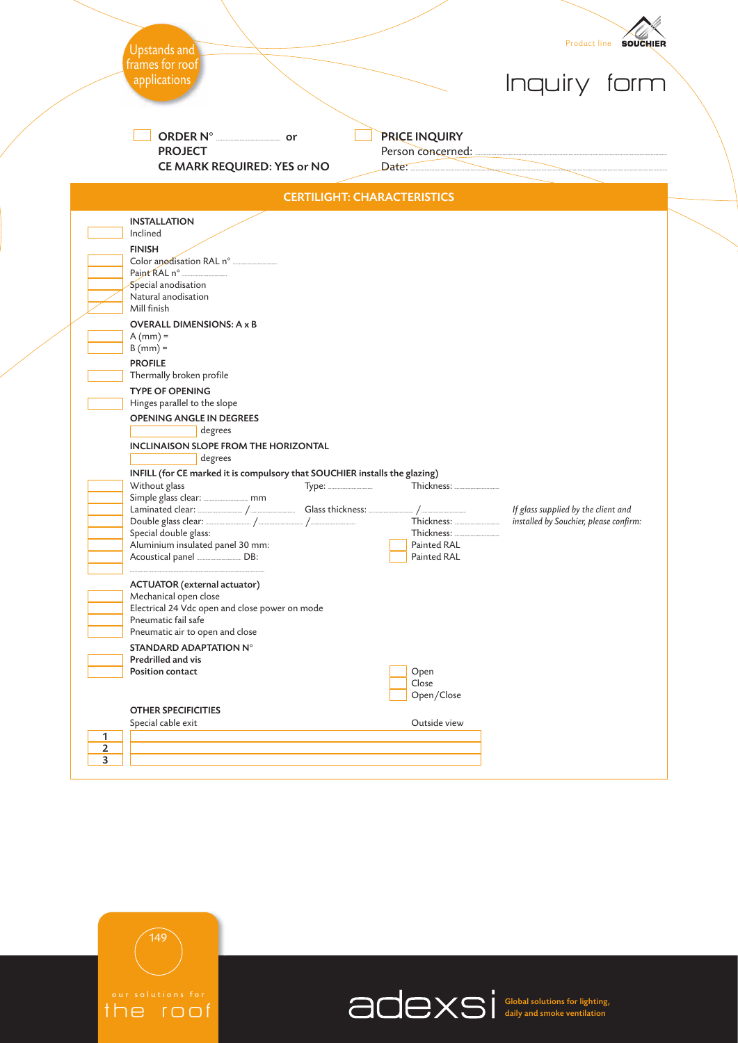|                | Upstands and                                                                                                                                                                                                                                                                                                                                                                                                                                                                                                                                                                                                                                                                                                                                                                                                                                                         |                                                                                         | Product line <b>SOUCHIER</b>                                                  |  |
|----------------|----------------------------------------------------------------------------------------------------------------------------------------------------------------------------------------------------------------------------------------------------------------------------------------------------------------------------------------------------------------------------------------------------------------------------------------------------------------------------------------------------------------------------------------------------------------------------------------------------------------------------------------------------------------------------------------------------------------------------------------------------------------------------------------------------------------------------------------------------------------------|-----------------------------------------------------------------------------------------|-------------------------------------------------------------------------------|--|
|                | frames for roof<br>applications                                                                                                                                                                                                                                                                                                                                                                                                                                                                                                                                                                                                                                                                                                                                                                                                                                      |                                                                                         | Inquiry form                                                                  |  |
|                | ORDER N° ____________________ or<br><b>PROJECT</b><br>CE MARK REQUIRED: YES or NO                                                                                                                                                                                                                                                                                                                                                                                                                                                                                                                                                                                                                                                                                                                                                                                    | <b>PRICE INQUIRY</b><br>Date:                                                           |                                                                               |  |
|                |                                                                                                                                                                                                                                                                                                                                                                                                                                                                                                                                                                                                                                                                                                                                                                                                                                                                      | <b>CERTILIGHT: CHARACTERISTICS</b>                                                      |                                                                               |  |
|                | <b>INSTALLATION</b><br>Inclined<br><b>FINISH</b><br>Special anodisation<br>Natural anodisation<br>Mill finish<br><b>OVERALL DIMENSIONS: A x B</b><br>$A$ (mm) =<br>$B(mm) =$<br><b>PROFILE</b><br>Thermally broken profile<br><b>TYPE OF OPENING</b><br>Hinges parallel to the slope<br><b>OPENING ANGLE IN DEGREES</b><br>degrees<br><b>INCLINAISON SLOPE FROM THE HORIZONTAL</b><br>degrees<br>INFILL (for CE marked it is compulsory that SOUCHIER installs the glazing)<br>Without glass<br>Special double glass:<br>Aluminium insulated panel 30 mm:<br><b>ACTUATOR</b> (external actuator)<br>Mechanical open close<br>Electrical 24 Vdc open and close power on mode<br>Pneumatic fail safe<br>Pneumatic air to open and close<br><b>STANDARD ADAPTATION N°</b><br>Predrilled and vis<br>Position contact<br><b>OTHER SPECIFICITIES</b><br>Special cable exit | Thickness:<br>Painted RAL<br>Painted RAL<br>Open<br>Close<br>Open/Close<br>Outside view | If glass supplied by the client and<br>installed by Souchier, please confirm: |  |
| 1              |                                                                                                                                                                                                                                                                                                                                                                                                                                                                                                                                                                                                                                                                                                                                                                                                                                                                      |                                                                                         |                                                                               |  |
| $\overline{2}$ |                                                                                                                                                                                                                                                                                                                                                                                                                                                                                                                                                                                                                                                                                                                                                                                                                                                                      |                                                                                         |                                                                               |  |



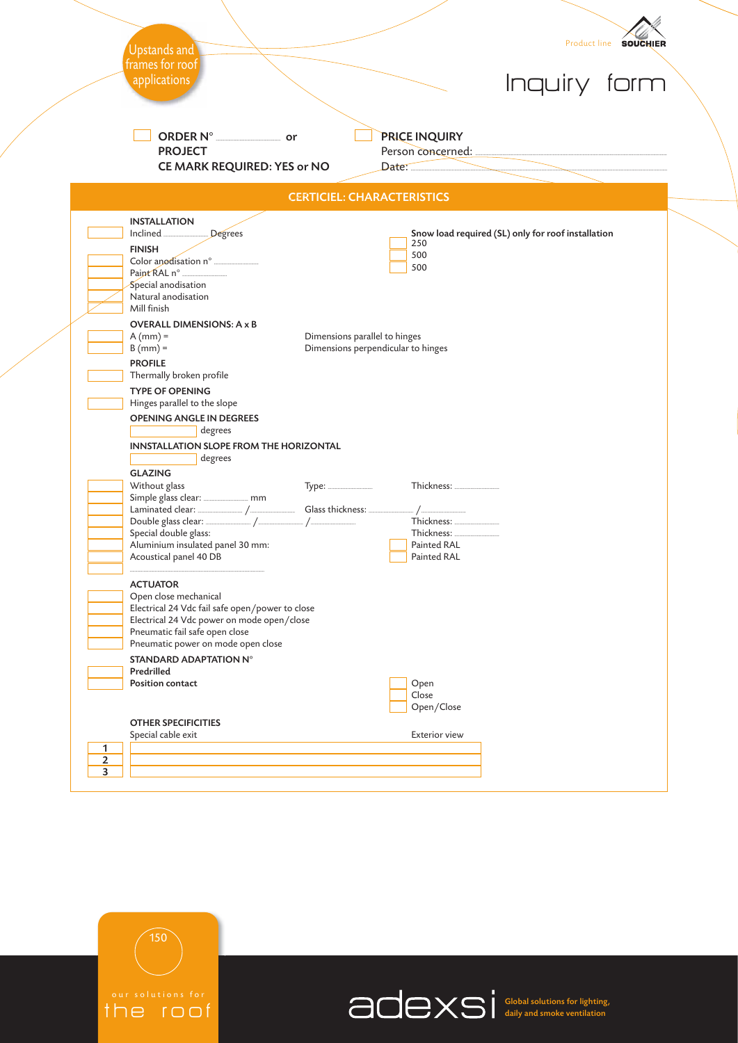|   | <b>Upstands and</b>                                                                                                                                                                                               |                                                                     |                                                                                                                                                                                                                                                                                                                                                     |                                                    | Product line SOUCHIER |
|---|-------------------------------------------------------------------------------------------------------------------------------------------------------------------------------------------------------------------|---------------------------------------------------------------------|-----------------------------------------------------------------------------------------------------------------------------------------------------------------------------------------------------------------------------------------------------------------------------------------------------------------------------------------------------|----------------------------------------------------|-----------------------|
|   | frames for roof<br>applications                                                                                                                                                                                   |                                                                     |                                                                                                                                                                                                                                                                                                                                                     | Inquiry form                                       |                       |
|   | ORDER N° ___________________ or<br><b>PROJECT</b><br>CE MARK REQUIRED: YES or NO                                                                                                                                  |                                                                     | PRICE INQUIRY<br>$Date:$ $\qquad$                                                                                                                                                                                                                                                                                                                   |                                                    |                       |
|   |                                                                                                                                                                                                                   | <b>CERTICIEL: CHARACTERISTICS</b>                                   |                                                                                                                                                                                                                                                                                                                                                     |                                                    |                       |
|   | <b>INSTALLATION</b><br>Inclined<br>Degrees<br><b>FINISH</b><br>Special anodisation<br>Natural anodisation<br>Mill finish                                                                                          |                                                                     | 250<br>500<br>500                                                                                                                                                                                                                                                                                                                                   | Snow load required (SL) only for roof installation |                       |
|   | <b>OVERALL DIMENSIONS: A x B</b><br>$A$ (mm) =<br>$B(mm) =$<br><b>PROFILE</b><br>Thermally broken profile<br><b>TYPE OF OPENING</b>                                                                               | Dimensions parallel to hinges<br>Dimensions perpendicular to hinges |                                                                                                                                                                                                                                                                                                                                                     |                                                    |                       |
|   | Hinges parallel to the slope<br><b>OPENING ANGLE IN DEGREES</b><br>degrees<br>INNSTALLATION SLOPE FROM THE HORIZONTAL<br>degrees                                                                                  |                                                                     |                                                                                                                                                                                                                                                                                                                                                     |                                                    |                       |
|   | <b>GLAZING</b>                                                                                                                                                                                                    |                                                                     |                                                                                                                                                                                                                                                                                                                                                     |                                                    |                       |
|   | Without glass<br>Special double glass:<br>Aluminium insulated panel 30 mm:<br>Acoustical panel 40 DB                                                                                                              |                                                                     | $\frac{1}{2}$ / $\frac{1}{2}$ $\frac{1}{2}$ $\frac{1}{2}$ $\frac{1}{2}$ $\frac{1}{2}$ $\frac{1}{2}$ $\frac{1}{2}$ $\frac{1}{2}$ $\frac{1}{2}$ $\frac{1}{2}$ $\frac{1}{2}$ $\frac{1}{2}$ $\frac{1}{2}$ $\frac{1}{2}$ $\frac{1}{2}$ $\frac{1}{2}$ $\frac{1}{2}$ $\frac{1}{2}$ $\frac{1}{2}$ $\frac{1}{2}$ $\frac{1}{2}$<br>Painted RAL<br>Painted RAL |                                                    |                       |
|   | <b>ACTUATOR</b><br>Open close mechanical<br>Electrical 24 Vdc fail safe open/power to close<br>Electrical 24 Vdc power on mode open/close<br>Pneumatic fail safe open close<br>Pneumatic power on mode open close |                                                                     |                                                                                                                                                                                                                                                                                                                                                     |                                                    |                       |
|   | STANDARD ADAPTATION N°<br>Predrilled<br><b>Position contact</b>                                                                                                                                                   |                                                                     | Open<br>Close<br>Open/Close                                                                                                                                                                                                                                                                                                                         |                                                    |                       |
|   | <b>OTHER SPECIFICITIES</b>                                                                                                                                                                                        |                                                                     |                                                                                                                                                                                                                                                                                                                                                     |                                                    |                       |
|   |                                                                                                                                                                                                                   |                                                                     |                                                                                                                                                                                                                                                                                                                                                     |                                                    |                       |
| 1 | Special cable exit                                                                                                                                                                                                |                                                                     | <b>Exterior view</b>                                                                                                                                                                                                                                                                                                                                |                                                    |                       |



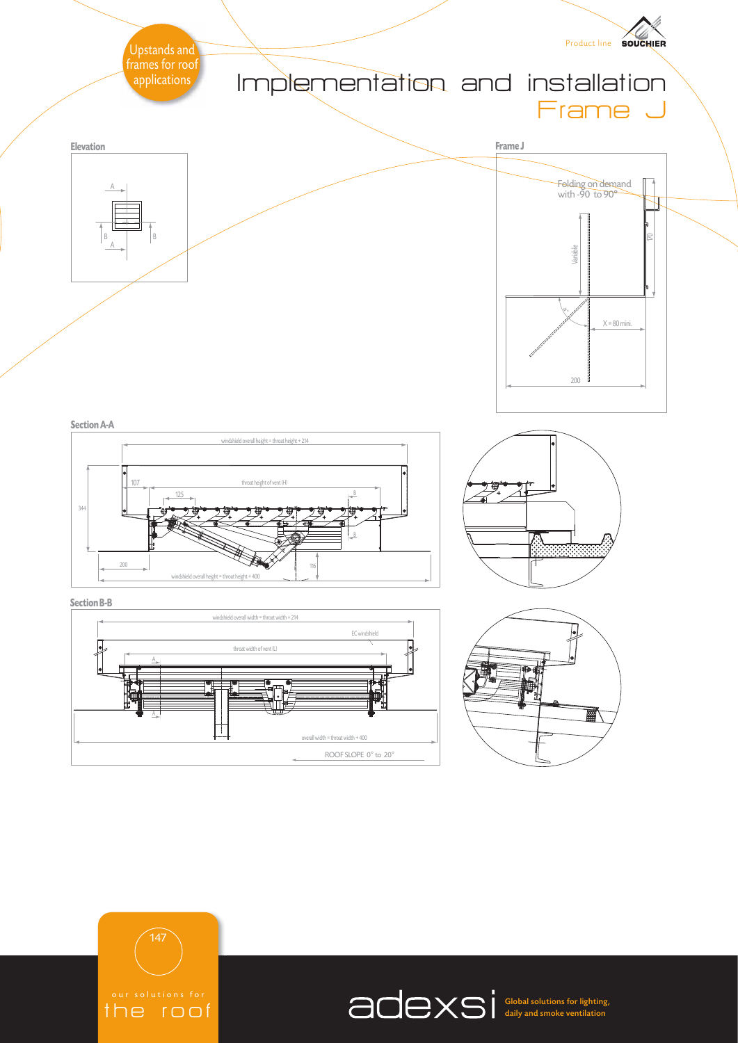

the roof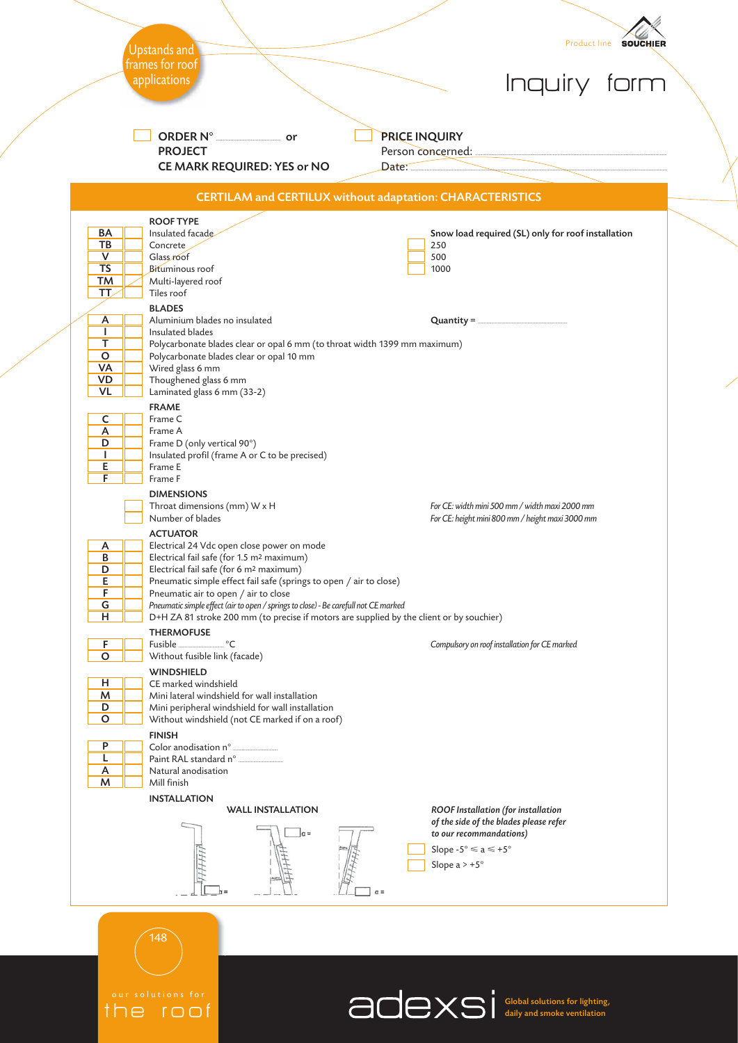|                        |                                                                                                                              | Product line <b>SOUCHIER</b>                                                                       |
|------------------------|------------------------------------------------------------------------------------------------------------------------------|----------------------------------------------------------------------------------------------------|
|                        | Upstands and<br>frames for roof                                                                                              |                                                                                                    |
|                        | applications                                                                                                                 | Inquiry form                                                                                       |
|                        |                                                                                                                              |                                                                                                    |
|                        | or                                                                                                                           | <b>PRICE INQUIRY</b>                                                                               |
|                        | <b>PROJECT</b><br>CE MARK REQUIRED: YES or NO                                                                                | Person concerned:<br>Date:                                                                         |
|                        |                                                                                                                              | <b>CERTILAM and CERTILUX without adaptation: CHARACTERISTICS</b>                                   |
|                        | <b>ROOF TYPE</b>                                                                                                             |                                                                                                    |
| BA<br><b>TB</b>        | Insulated facade<br>Concrete                                                                                                 | Snow load required (SL) only for roof installation<br>250                                          |
| V<br><b>TS</b>         | Glass roof<br>Bituminous roof                                                                                                | 500<br>1000                                                                                        |
| <b>TM</b><br>TT.       | Multi-layered roof<br>Tiles roof                                                                                             |                                                                                                    |
|                        | <b>BLADES</b>                                                                                                                |                                                                                                    |
| A<br>п.                | Aluminium blades no insulated<br>Insulated blades                                                                            |                                                                                                    |
| T<br>$\circ$           | Polycarbonate blades clear or opal 6 mm (to throat width 1399 mm maximum)<br>Polycarbonate blades clear or opal 10 mm        |                                                                                                    |
| VA                     | Wired glass 6 mm                                                                                                             |                                                                                                    |
| <b>VD</b><br><b>VL</b> | Thoughened glass 6 mm<br>Laminated glass 6 mm (33-2)                                                                         |                                                                                                    |
| c                      | <b>FRAME</b><br>Frame C                                                                                                      |                                                                                                    |
| A                      | Frame A                                                                                                                      |                                                                                                    |
| D<br>L                 | Frame D (only vertical 90°)<br>Insulated profil (frame A or C to be precised)                                                |                                                                                                    |
| E<br>F                 | Frame E<br>Frame F                                                                                                           |                                                                                                    |
|                        | <b>DIMENSIONS</b>                                                                                                            |                                                                                                    |
|                        | Throat dimensions (mm) W x H<br>Number of blades                                                                             | For CE: width mini 500 mm / width maxi 2000 mm<br>For CE: height mini 800 mm / height maxi 3000 mm |
| A                      | <b>ACTUATOR</b><br>Electrical 24 Vdc open close power on mode                                                                |                                                                                                    |
| $\overline{B}$         | Electrical fail safe (for 1.5 m <sup>2</sup> maximum)                                                                        |                                                                                                    |
| D<br>Е                 | Electrical fail safe (for 6 m <sup>2</sup> maximum)<br>Pneumatic simple effect fail safe (springs to open / air to close)    |                                                                                                    |
| F<br>G                 | Pneumatic air to open / air to close<br>Pneumatic simple effect (air to open / springs to close) - Be carefull not CE marked |                                                                                                    |
| н                      | D+H ZA 81 stroke 200 mm (to precise if motors are supplied by the client or by souchier)                                     |                                                                                                    |
| F                      | <b>THERMOFUSE</b>                                                                                                            | Compulsory on roof installation for CE marked                                                      |
| O                      | Without fusible link (facade)<br><b>WINDSHIELD</b>                                                                           |                                                                                                    |
| н<br>M                 | CE marked windshield<br>Mini lateral windshield for wall installation                                                        |                                                                                                    |
| D                      | Mini peripheral windshield for wall installation                                                                             |                                                                                                    |
| $\circ$                | Without windshield (not CE marked if on a roof)<br><b>FINISH</b>                                                             |                                                                                                    |
| P<br>L                 |                                                                                                                              |                                                                                                    |
| А                      | Natural anodisation                                                                                                          |                                                                                                    |
| M                      | Mill finish<br><b>INSTALLATION</b>                                                                                           |                                                                                                    |
|                        | <b>WALL INSTALLATION</b>                                                                                                     | ROOF Installation (for installation<br>of the side of the blades please refer                      |
|                        | $\alpha =$                                                                                                                   | to our recommandations)                                                                            |
|                        |                                                                                                                              | Slope - $5^{\circ} \le a \le +5^{\circ}$<br>Slope a $> +5^{\circ}$                                 |
|                        |                                                                                                                              |                                                                                                    |
|                        |                                                                                                                              | $\alpha =$                                                                                         |
|                        |                                                                                                                              |                                                                                                    |
|                        | 48                                                                                                                           |                                                                                                    |
|                        |                                                                                                                              |                                                                                                    |

our solutions for<br> $\mathfrak{f}\cap \mathfrak{e}$   $\mathfrak{r}\cap \mathfrak{c}$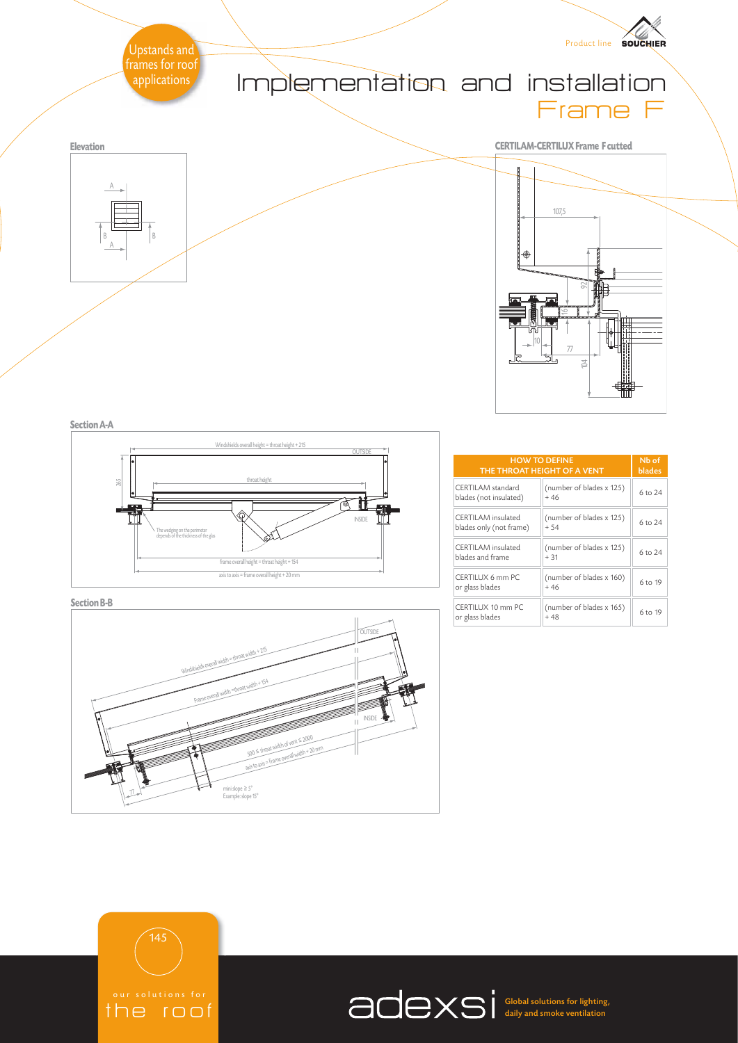

**Section A-A**



**Section B-B**



| <b>HOW TO DEFINE</b><br>THE THROAT HEIGHT OF A VENT | Nb of<br><b>blades</b>            |         |
|-----------------------------------------------------|-----------------------------------|---------|
| CERTII AM standard<br>blades (not insulated)        | (number of blades x 125)<br>$+46$ | 6 to 24 |
| CERTII AM insulated<br>blades only (not frame)      | (number of blades x 125)<br>$+54$ | 6 to 24 |
| CERTII AM insulated<br>blades and frame             | (number of blades x 125)<br>$+31$ | 6 to 24 |
| CERTILUX 6 mm PC<br>or glass blades                 | (number of blades x 160)<br>$+46$ | 6 to 19 |
| CERTILUX 10 mm PC<br>or glass blades                | (number of blades x 165)<br>$+48$ | 6 to 19 |



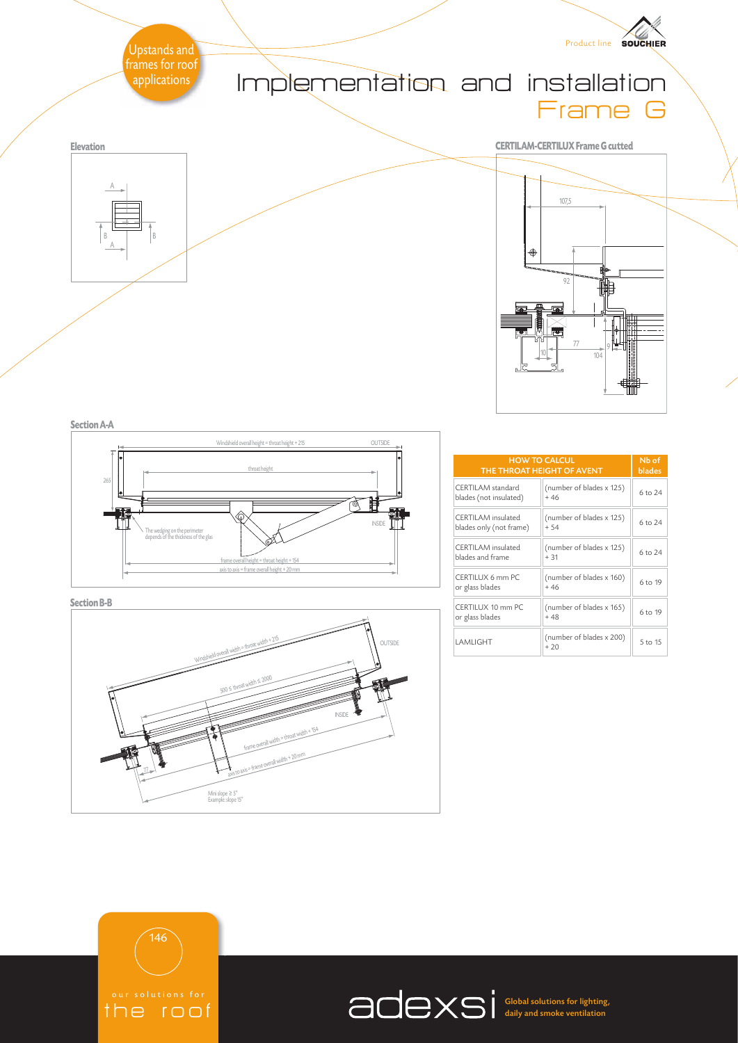

**Section A-A**



**Section B-B**



| <b>HOW TO CALCUL</b><br>THE THROAT HEIGHT OF AVENT | Nb of<br><b>blades</b>            |         |
|----------------------------------------------------|-----------------------------------|---------|
| CERTII AM standard<br>blades (not insulated)       | (number of blades x 125)<br>$+46$ | 6 to 24 |
| CERTII AM insulated<br>blades only (not frame)     | (number of blades x 125)<br>$+54$ | 6 to 24 |
| <b>CERTILAM</b> insulated<br>blades and frame      | (number of blades x 125)<br>$+31$ | 6 to 24 |
| CERTILUX 6 mm PC<br>or glass blades                | (number of blades x 160)<br>$+46$ | 6 to 19 |
| CERTILUX 10 mm PC<br>or glass blades               | (number of blades x 165)<br>$+48$ | 6 to 19 |
| I AMI IGHT                                         | (number of blades x 200)<br>$+20$ | 5 to 15 |